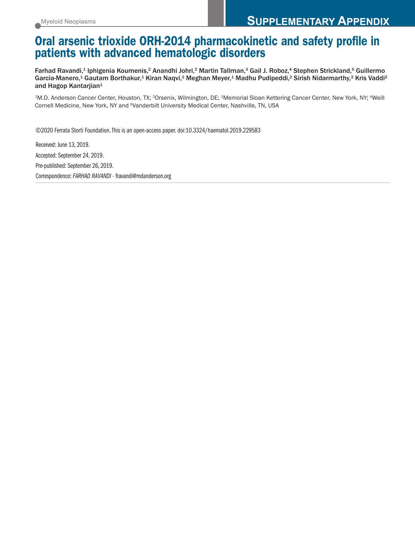# **Oral arsenic trioxide ORH-2014 pharmacokinetic and safety profile in patients with advanced hematologic disorders**

Farhad Ravandi,<sup>1</sup> Iphigenia Koumenis,<sup>2</sup> Anandhi Johri,<sup>2</sup> Martin Tallman,<sup>3</sup> Gail J. Roboz,<sup>4</sup> Stephen Strickland,<sup>5</sup> Guillermo Garcia-Manero,<sup>1</sup> Gautam Borthakur,<sup>1</sup> Kiran Naqvi,<sup>1</sup> Meghan Meyer,<sup>1</sup> Madhu Pudipeddi,<sup>2</sup> Sirish Nidarmarthy,<sup>2</sup> Kris Vaddi<sup>2</sup> and Hagop Kantarjian<sup>1</sup>

1M.D. Anderson Cancer Center, Houston, TX; 2Orsenix, Wilmington, DE; 3Memorial Sloan Kettering Cancer Center, New York, NY; 4Weill Cornell Medicine, New York, NY and 5Vanderbilt University Medical Center, Nashville, TN, USA

©2020 Ferrata Storti Foundation.This is an open-access paper. doi:10.3324/haematol.2019.229583

Received: June 13, 2019. Accepted: September 24, 2019. Pre-published: September 26, 2019. Correspondence: *FARHAD RAVANDI -* fravandi@mdanderson.org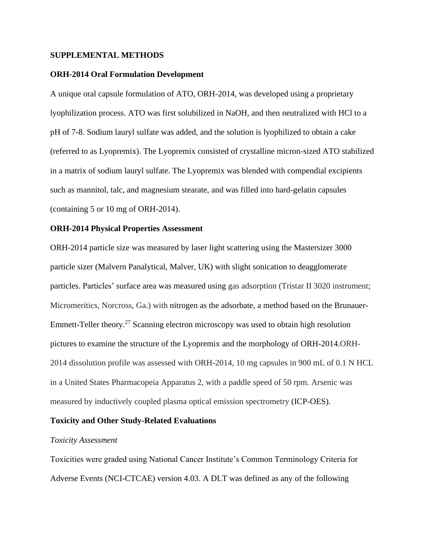#### **SUPPLEMENTAL METHODS**

#### **ORH-2014 Oral Formulation Development**

A unique oral capsule formulation of ATO, ORH-2014, was developed using a proprietary lyophilization process. ATO was first solubilized in NaOH, and then neutralized with HCl to a pH of 7-8. Sodium lauryl sulfate was added, and the solution is lyophilized to obtain a cake (referred to as Lyopremix). The Lyopremix consisted of crystalline micron-sized ATO stabilized in a matrix of sodium lauryl sulfate. The Lyopremix was blended with compendial excipients such as mannitol, talc, and magnesium stearate, and was filled into hard-gelatin capsules (containing 5 or 10 mg of ORH-2014).

#### **ORH-2014 Physical Properties Assessment**

ORH-2014 particle size was measured by laser light scattering using the Mastersizer 3000 particle sizer (Malvern Panalytical, Malver, UK) with slight sonication to deagglomerate particles. Particles' surface area was measured using gas adsorption (Tristar II 3020 instrument; Micromeritics, Norcross, Ga.) with nitrogen as the adsorbate, a method based on the Brunauer-Emmett-Teller theory.<sup>27</sup> Scanning electron microscopy was used to obtain high resolution pictures to examine the structure of the Lyopremix and the morphology of ORH-2014.ORH-2014 dissolution profile was assessed with ORH-2014, 10 mg capsules in 900 mL of 0.1 N HCL in a United States Pharmacopeia Apparatus 2, with a paddle speed of 50 rpm. Arsenic was measured by inductively coupled plasma optical emission spectrometry (ICP-OES).

#### **Toxicity and Other Study-Related Evaluations**

#### *Toxicity Assessment*

Toxicities were graded using National Cancer Institute's Common Terminology Criteria for Adverse Events (NCI-CTCAE) version 4.03. A DLT was defined as any of the following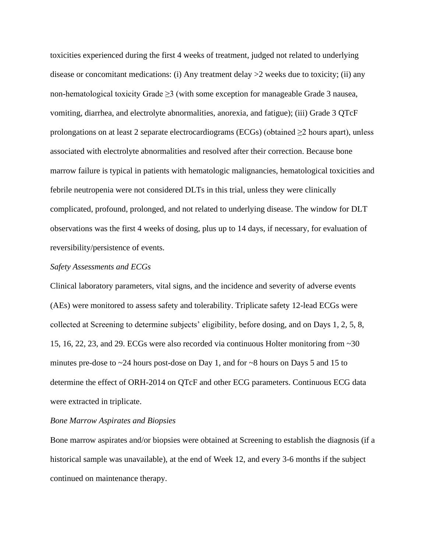toxicities experienced during the first 4 weeks of treatment, judged not related to underlying disease or concomitant medications: (i) Any treatment delay  $>2$  weeks due to toxicity; (ii) any non-hematological toxicity Grade  $\geq$ 3 (with some exception for manageable Grade 3 nausea, vomiting, diarrhea, and electrolyte abnormalities, anorexia, and fatigue); (iii) Grade 3 QTcF prolongations on at least 2 separate electrocardiograms (ECGs) (obtained  $\geq$ 2 hours apart), unless associated with electrolyte abnormalities and resolved after their correction. Because bone marrow failure is typical in patients with hematologic malignancies, hematological toxicities and febrile neutropenia were not considered DLTs in this trial, unless they were clinically complicated, profound, prolonged, and not related to underlying disease. The window for DLT observations was the first 4 weeks of dosing, plus up to 14 days, if necessary, for evaluation of reversibility/persistence of events.

#### *Safety Assessments and ECGs*

Clinical laboratory parameters, vital signs, and the incidence and severity of adverse events (AEs) were monitored to assess safety and tolerability. Triplicate safety 12-lead ECGs were collected at Screening to determine subjects' eligibility, before dosing, and on Days 1, 2, 5, 8, 15, 16, 22, 23, and 29. ECGs were also recorded via continuous Holter monitoring from ~30 minutes pre-dose to ~24 hours post-dose on Day 1, and for ~8 hours on Days 5 and 15 to determine the effect of ORH-2014 on QTcF and other ECG parameters. Continuous ECG data were extracted in triplicate.

#### *Bone Marrow Aspirates and Biopsies*

Bone marrow aspirates and/or biopsies were obtained at Screening to establish the diagnosis (if a historical sample was unavailable), at the end of Week 12, and every 3-6 months if the subject continued on maintenance therapy.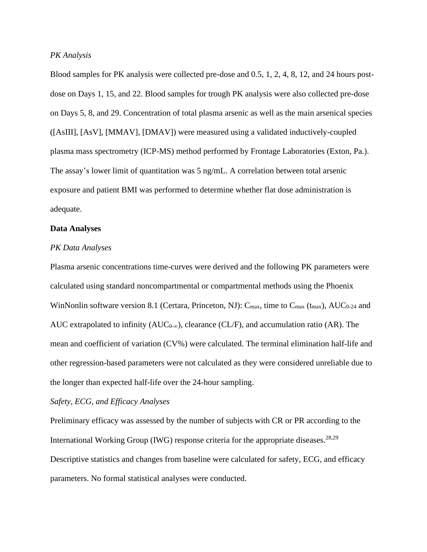#### *PK Analysis*

Blood samples for PK analysis were collected pre-dose and 0.5, 1, 2, 4, 8, 12, and 24 hours postdose on Days 1, 15, and 22. Blood samples for trough PK analysis were also collected pre-dose on Days 5, 8, and 29. Concentration of total plasma arsenic as well as the main arsenical species ([AsIII], [AsV], [MMAV], [DMAV]) were measured using a validated inductively-coupled plasma mass spectrometry (ICP-MS) method performed by Frontage Laboratories (Exton, Pa.). The assay's lower limit of quantitation was 5 ng/mL. A correlation between total arsenic exposure and patient BMI was performed to determine whether flat dose administration is adequate.

#### **Data Analyses**

#### *PK Data Analyses*

Plasma arsenic concentrations time-curves were derived and the following PK parameters were calculated using standard noncompartmental or compartmental methods using the Phoenix WinNonlin software version 8.1 (Certara, Princeton, NJ):  $C_{\text{max}}$ , time to  $C_{\text{max}}$  (t<sub>max</sub>), AUC<sub>0-24</sub> and AUC extrapolated to infinity ( $AUC_{0-\infty}$ ), clearance (CL/F), and accumulation ratio (AR). The mean and coefficient of variation (CV%) were calculated. The terminal elimination half-life and other regression-based parameters were not calculated as they were considered unreliable due to the longer than expected half-life over the 24-hour sampling.

#### *Safety, ECG, and Efficacy Analyses*

Preliminary efficacy was assessed by the number of subjects with CR or PR according to the International Working Group (IWG) response criteria for the appropriate diseases.<sup>28,29</sup> Descriptive statistics and changes from baseline were calculated for safety, ECG, and efficacy parameters. No formal statistical analyses were conducted.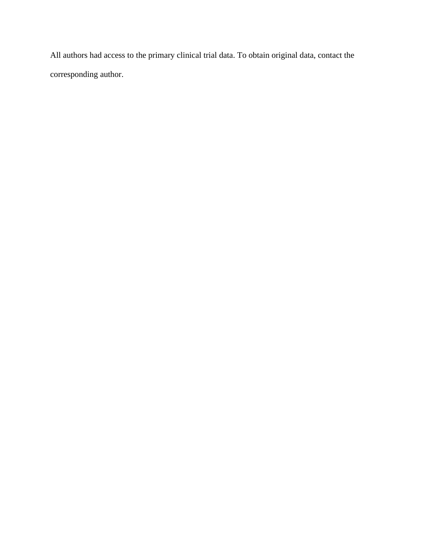All authors had access to the primary clinical trial data. To obtain original data, contact the corresponding author.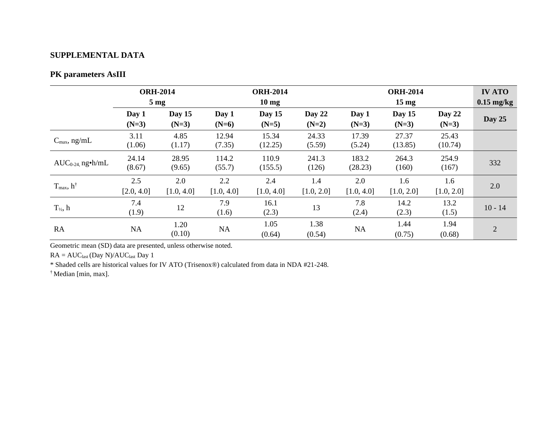### **SUPPLEMENTAL DATA**

### **PK parameters AsIII**

|                           | <b>ORH-2014</b><br>$5 \text{ mg}$ |                   | <b>ORH-2014</b><br>$10 \text{ mg}$ |                   |                   | <b>ORH-2014</b><br>15 <sub>mg</sub> |                   |                     | <b>IV ATO</b><br>$0.15$ mg/kg |
|---------------------------|-----------------------------------|-------------------|------------------------------------|-------------------|-------------------|-------------------------------------|-------------------|---------------------|-------------------------------|
|                           | Day 1<br>$(N=3)$                  | Day 15<br>$(N=3)$ | Day 1<br>$(N=6)$                   | Day 15<br>$(N=5)$ | Day 22<br>$(N=2)$ | Day 1<br>$(N=3)$                    | Day 15<br>$(N=3)$ | Day $22$<br>$(N=3)$ | Day 25                        |
| $C_{\text{max}}$ , ng/mL  | 3.11<br>(1.06)                    | 4.85<br>(1.17)    | 12.94<br>(7.35)                    | 15.34<br>(12.25)  | 24.33<br>(5.59)   | 17.39<br>(5.24)                     | 27.37<br>(13.85)  | 25.43<br>(10.74)    |                               |
| $AUC_{0-24}$ , ng•h/mL    | 24.14<br>(8.67)                   | 28.95<br>(9.65)   | 114.2<br>(55.7)                    | 110.9<br>(155.5)  | 241.3<br>(126)    | 183.2<br>(28.23)                    | 264.3<br>(160)    | 254.9<br>(167)      | 332                           |
| $T_{max}$ , $h^{\dagger}$ | 2.5<br>[2.0, 4.0]                 | 2.0<br>[1.0, 4.0] | 2.2<br>[1.0, 4.0]                  | 2.4<br>[1.0, 4.0] | 1.4<br>[1.0, 2.0] | 2.0<br>[1.0, 4.0]                   | 1.6<br>[1.0, 2.0] | 1.6<br>[1.0, 2.0]   | 2.0                           |
| $T_{\frac{1}{2}}$ , h     | 7.4<br>(1.9)                      | 12                | 7.9<br>(1.6)                       | 16.1<br>(2.3)     | 13                | 7.8<br>(2.4)                        | 14.2<br>(2.3)     | 13.2<br>(1.5)       | $10 - 14$                     |
| RA                        | <b>NA</b>                         | 1.20<br>(0.10)    | <b>NA</b>                          | 1.05<br>(0.64)    | 1.38<br>(0.54)    | <b>NA</b>                           | 1.44<br>(0.75)    | 1.94<br>(0.68)      | $\overline{2}$                |

Geometric mean (SD) data are presented, unless otherwise noted.

 $RA = AUC<sub>last</sub> (Day N)/AUC<sub>last</sub> Day 1$ 

\* Shaded cells are historical values for IV ATO (Trisenox®) calculated from data in NDA #21-248.

† Median [min, max].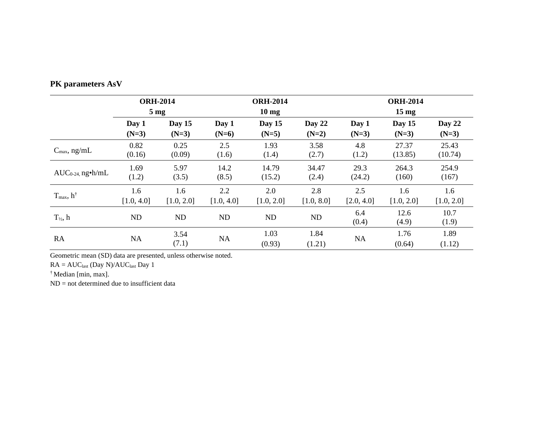| PK parameters AsV |  |  |
|-------------------|--|--|
|-------------------|--|--|

|                                  | <b>ORH-2014</b> |               | <b>ORH-2014</b> |                |                | <b>ORH-2014</b> |                |                |
|----------------------------------|-----------------|---------------|-----------------|----------------|----------------|-----------------|----------------|----------------|
|                                  | $5 \text{ mg}$  |               | $10 \text{ mg}$ |                |                | $15 \text{ mg}$ |                |                |
|                                  | Day 1           | Day 15        | Day 1           | Day 15         | Day 22         | Day 1           | Day 15         | Day 22         |
|                                  | $(N=3)$         | $(N=3)$       | $(N=6)$         | $(N=5)$        | $(N=2)$        | $(N=3)$         | $(N=3)$        | $(N=3)$        |
| $C_{\text{max}}$ , ng/mL         | 0.82            | 0.25          | 2.5             | 1.93           | 3.58           | 4.8             | 27.37          | 25.43          |
|                                  | (0.16)          | (0.09)        | (1.6)           | (1.4)          | (2.7)          | (1.2)           | (13.85)        | (10.74)        |
| $AUC_{0-24}$ , ng•h/mL           | 1.69            | 5.97          | 14.2            | 14.79          | 34.47          | 29.3            | 264.3          | 254.9          |
|                                  | (1.2)           | (3.5)         | (8.5)           | (15.2)         | (2.4)          | (24.2)          | (160)          | (167)          |
| $T_{\text{max}}$ , $h^{\dagger}$ | 1.6             | 1.6           | 2.2             | 2.0            | 2.8            | 2.5             | 1.6            | 1.6            |
|                                  | [1.0, 4.0]      | [1.0, 2.0]    | [1.0, 4.0]      | [1.0, 2.0]     | [1.0, 8.0]     | [2.0, 4.0]      | [1.0, 2.0]     | [1.0, 2.0]     |
| $T_{\frac{1}{2}}$ , h            | ND              | ND            | ND              | ND             | ND             | 6.4<br>(0.4)    | 12.6<br>(4.9)  | 10.7<br>(1.9)  |
| RA                               | NA              | 3.54<br>(7.1) | NA              | 1.03<br>(0.93) | 1.84<br>(1.21) | <b>NA</b>       | 1.76<br>(0.64) | 1.89<br>(1.12) |

Geometric mean (SD) data are presented, unless otherwise noted.

 $RA = AUC_{last}$  (Day  $N)/AUC_{last}$  Day  $1$ 

† Median [min, max].

ND = not determined due to insufficient data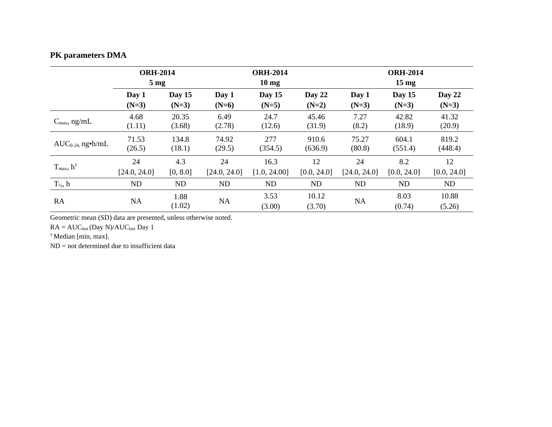## **PK parameters DMA**

|                                  | <b>ORH-2014</b> |                | <b>ORH-2014</b> |                |                 | <b>ORH-2014</b> |                |                 |
|----------------------------------|-----------------|----------------|-----------------|----------------|-----------------|-----------------|----------------|-----------------|
|                                  | $5 \text{ mg}$  |                | $10 \text{ mg}$ |                |                 | $15 \text{ mg}$ |                |                 |
|                                  | Day 1           | Day $15$       | Day 1           | Day 15         | Day $22$        | Day 1           | Day 15         | Day 22          |
|                                  | $(N=3)$         | $(N=3)$        | $(N=6)$         | $(N=5)$        | $(N=2)$         | $(N=3)$         | $(N=3)$        | $(N=3)$         |
| $C_{\text{max}}$ , ng/mL         | 4.68            | 20.35          | 6.49            | 24.7           | 45.46           | 7.27            | 42.82          | 41.32           |
|                                  | (1.11)          | (3.68)         | (2.78)          | (12.6)         | (31.9)          | (8.2)           | (18.9)         | (20.9)          |
| $AUC_{0-24}$ , ng•h/mL           | 71.53           | 134.8          | 74.92           | 277            | 910.6           | 75.27           | 604.1          | 819.2           |
|                                  | (26.5)          | (18.1)         | (29.5)          | (354.5)        | (636.9)         | (80.8)          | (551.4)        | (448.4)         |
| $T_{\text{max}}$ , $h^{\dagger}$ | 24              | 4.3            | 24              | 16.3           | 12              | 24              | 8.2            | 12              |
|                                  | [24.0, 24.0]    | [0, 8.0]       | [24.0, 24.0]    | [1.0, 24.00]   | [0.0, 24.0]     | [24.0, 24.0]    | [0.0, 24.0]    | [0.0, 24.0]     |
| $T_{\frac{1}{2}}$ , h            | <b>ND</b>       | <b>ND</b>      | <b>ND</b>       | ND             | ND              | <b>ND</b>       | ND             | ND              |
| RA                               | NA              | 1.88<br>(1.02) | <b>NA</b>       | 3.53<br>(3.00) | 10.12<br>(3.70) | <b>NA</b>       | 8.03<br>(0.74) | 10.88<br>(5.26) |

Geometric mean (SD) data are presented, unless otherwise noted.

 $RA = AUC_{last}$  (Day  $N)/AUC_{last}$  Day  $1$ 

† Median [min, max].

ND = not determined due to insufficient data